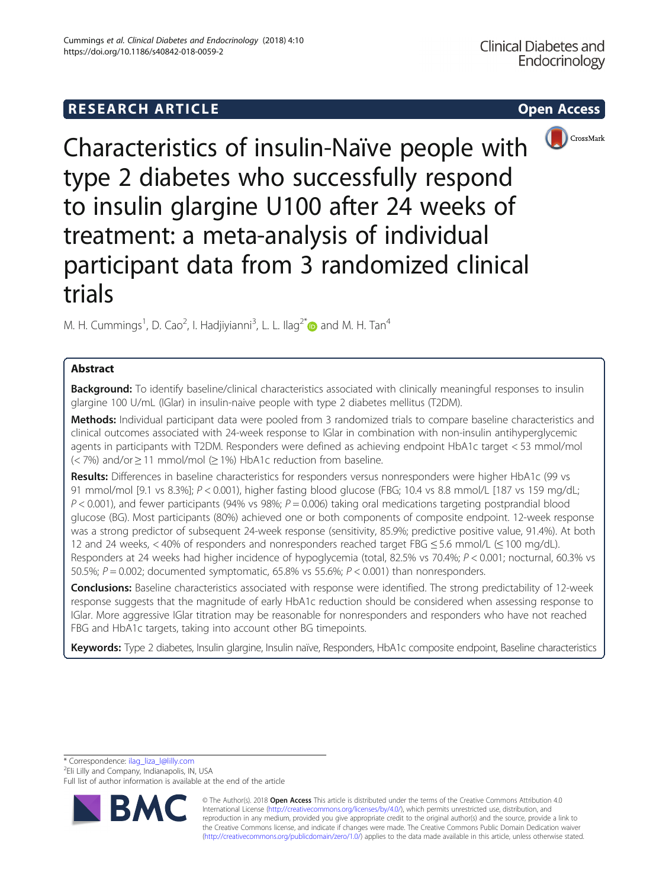# **RESEARCH ARTICLE Example 2014 CONSIDERING CONSIDERING CONSIDERING CONSIDERING CONSIDERING CONSIDERING CONSIDERING CONSIDERING CONSIDERING CONSIDERING CONSIDERING CONSIDERING CONSIDERING CONSIDERING CONSIDERING CONSIDE**



Characteristics of insulin-Naïve people with type 2 diabetes who successfully respond to insulin glargine U100 after 24 weeks of treatment: a meta-analysis of individual participant data from 3 randomized clinical trials

M. H. Cummings $^1$ , D. Cao $^2$ , I. Hadjiyianni $^3$ , L. L. Ilag $^{2^*}$  and M. H. Tan $^4$ 

## Abstract

Background: To identify baseline/clinical characteristics associated with clinically meaningful responses to insulin glargine 100 U/mL (IGlar) in insulin-naive people with type 2 diabetes mellitus (T2DM).

Methods: Individual participant data were pooled from 3 randomized trials to compare baseline characteristics and clinical outcomes associated with 24-week response to IGlar in combination with non-insulin antihyperglycemic agents in participants with T2DM. Responders were defined as achieving endpoint HbA1c target < 53 mmol/mol  $(< 7\%)$  and/or  $\geq 11$  mmol/mol ( $\geq 1\%$ ) HbA1c reduction from baseline.

Results: Differences in baseline characteristics for responders versus nonresponders were higher HbA1c (99 vs 91 mmol/mol [9.1 vs 8.3%]; P < 0.001), higher fasting blood glucose (FBG; 10.4 vs 8.8 mmol/L [187 vs 159 mg/dL;  $P < 0.001$ ), and fewer participants (94% vs 98%;  $P = 0.006$ ) taking oral medications targeting postprandial blood glucose (BG). Most participants (80%) achieved one or both components of composite endpoint. 12-week response was a strong predictor of subsequent 24-week response (sensitivity, 85.9%; predictive positive value, 91.4%). At both 12 and 24 weeks, < 40% of responders and nonresponders reached target FBG ≤ 5.6 mmol/L (≤ 100 mg/dL). Responders at 24 weeks had higher incidence of hypoglycemia (total, 82.5% vs 70.4%; P < 0.001; nocturnal, 60.3% vs 50.5%;  $P = 0.002$ ; documented symptomatic, 65.8% vs 55.6%;  $P < 0.001$ ) than nonresponders.

Conclusions: Baseline characteristics associated with response were identified. The strong predictability of 12-week response suggests that the magnitude of early HbA1c reduction should be considered when assessing response to IGlar. More aggressive IGlar titration may be reasonable for nonresponders and responders who have not reached FBG and HbA1c targets, taking into account other BG timepoints.

Keywords: Type 2 diabetes, Insulin glargine, Insulin naïve, Responders, HbA1c composite endpoint, Baseline characteristics

\* Correspondence: [ilag\\_liza\\_l@lilly.com](mailto:ilag_liza_l@lilly.com) <sup>2</sup>

<sup>2</sup>Eli Lilly and Company, Indianapolis, IN, USA

Full list of author information is available at the end of the article



© The Author(s). 2018 Open Access This article is distributed under the terms of the Creative Commons Attribution 4.0 International License [\(http://creativecommons.org/licenses/by/4.0/](http://creativecommons.org/licenses/by/4.0/)), which permits unrestricted use, distribution, and reproduction in any medium, provided you give appropriate credit to the original author(s) and the source, provide a link to the Creative Commons license, and indicate if changes were made. The Creative Commons Public Domain Dedication waiver [\(http://creativecommons.org/publicdomain/zero/1.0/](http://creativecommons.org/publicdomain/zero/1.0/)) applies to the data made available in this article, unless otherwise stated.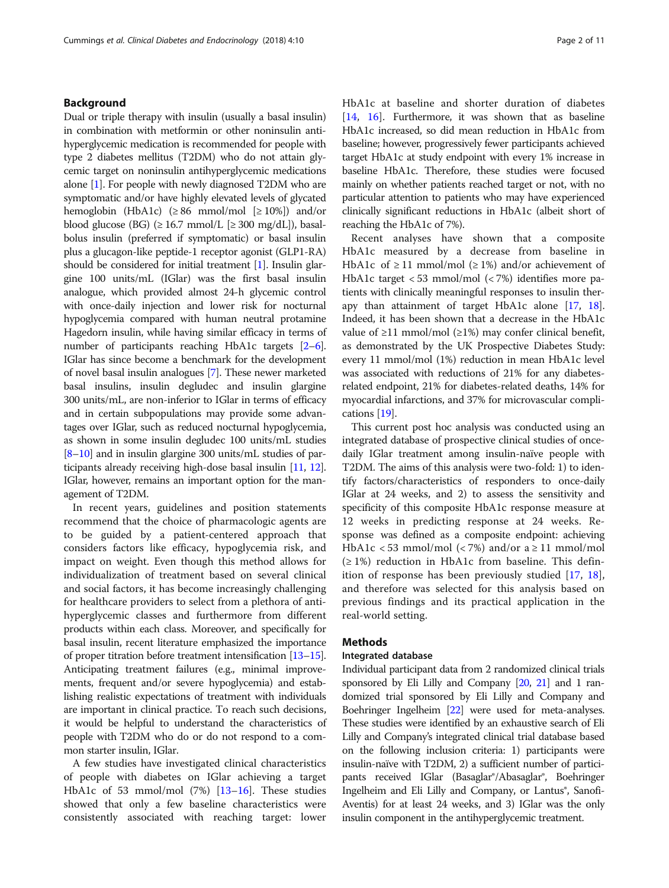## Background

Dual or triple therapy with insulin (usually a basal insulin) in combination with metformin or other noninsulin antihyperglycemic medication is recommended for people with type 2 diabetes mellitus (T2DM) who do not attain glycemic target on noninsulin antihyperglycemic medications alone [[1](#page-9-0)]. For people with newly diagnosed T2DM who are symptomatic and/or have highly elevated levels of glycated hemoglobin (HbA1c)  $(\geq 86 \text{ mmol/mol } [\geq 10\%])$  and/or blood glucose (BG) ( $\geq$  16.7 mmol/L [ $\geq$  300 mg/dL]), basalbolus insulin (preferred if symptomatic) or basal insulin plus a glucagon-like peptide-1 receptor agonist (GLP1-RA) should be considered for initial treatment [\[1\]](#page-9-0). Insulin glargine 100 units/mL (IGlar) was the first basal insulin analogue, which provided almost 24-h glycemic control with once-daily injection and lower risk for nocturnal hypoglycemia compared with human neutral protamine Hagedorn insulin, while having similar efficacy in terms of number of participants reaching HbA1c targets [\[2](#page-9-0)–[6](#page-9-0)]. IGlar has since become a benchmark for the development of novel basal insulin analogues [\[7](#page-9-0)]. These newer marketed basal insulins, insulin degludec and insulin glargine 300 units/mL, are non-inferior to IGlar in terms of efficacy and in certain subpopulations may provide some advantages over IGlar, such as reduced nocturnal hypoglycemia, as shown in some insulin degludec 100 units/mL studies [[8](#page-9-0)–[10\]](#page-9-0) and in insulin glargine 300 units/mL studies of participants already receiving high-dose basal insulin [\[11,](#page-9-0) [12](#page-9-0)]. IGlar, however, remains an important option for the management of T2DM.

In recent years, guidelines and position statements recommend that the choice of pharmacologic agents are to be guided by a patient-centered approach that considers factors like efficacy, hypoglycemia risk, and impact on weight. Even though this method allows for individualization of treatment based on several clinical and social factors, it has become increasingly challenging for healthcare providers to select from a plethora of antihyperglycemic classes and furthermore from different products within each class. Moreover, and specifically for basal insulin, recent literature emphasized the importance of proper titration before treatment intensification [[13](#page-9-0)–[15](#page-9-0)]. Anticipating treatment failures (e.g., minimal improvements, frequent and/or severe hypoglycemia) and establishing realistic expectations of treatment with individuals are important in clinical practice. To reach such decisions, it would be helpful to understand the characteristics of people with T2DM who do or do not respond to a common starter insulin, IGlar.

A few studies have investigated clinical characteristics of people with diabetes on IGlar achieving a target HbA1c of 53 mmol/mol (7%) [[13](#page-9-0)–[16\]](#page-9-0). These studies showed that only a few baseline characteristics were consistently associated with reaching target: lower HbA1c at baseline and shorter duration of diabetes [[14,](#page-9-0) [16](#page-9-0)]. Furthermore, it was shown that as baseline HbA1c increased, so did mean reduction in HbA1c from baseline; however, progressively fewer participants achieved target HbA1c at study endpoint with every 1% increase in baseline HbA1c. Therefore, these studies were focused mainly on whether patients reached target or not, with no particular attention to patients who may have experienced clinically significant reductions in HbA1c (albeit short of reaching the HbA1c of 7%).

Recent analyses have shown that a composite HbA1c measured by a decrease from baseline in HbA1c of  $\geq$  11 mmol/mol ( $\geq$  1%) and/or achievement of HbA1c target < 53 mmol/mol (< 7%) identifies more patients with clinically meaningful responses to insulin therapy than attainment of target HbA1c alone [\[17,](#page-9-0) [18](#page-9-0)]. Indeed, it has been shown that a decrease in the HbA1c value of ≥11 mmol/mol (≥1%) may confer clinical benefit, as demonstrated by the UK Prospective Diabetes Study: every 11 mmol/mol (1%) reduction in mean HbA1c level was associated with reductions of 21% for any diabetesrelated endpoint, 21% for diabetes-related deaths, 14% for myocardial infarctions, and 37% for microvascular complications [[19](#page-9-0)].

This current post hoc analysis was conducted using an integrated database of prospective clinical studies of oncedaily IGlar treatment among insulin-naïve people with T2DM. The aims of this analysis were two-fold: 1) to identify factors/characteristics of responders to once-daily IGlar at 24 weeks, and 2) to assess the sensitivity and specificity of this composite HbA1c response measure at 12 weeks in predicting response at 24 weeks. Response was defined as a composite endpoint: achieving HbA1c < 53 mmol/mol (< 7%) and/or  $a \ge 11$  mmol/mol (≥ 1%) reduction in HbA1c from baseline. This definition of response has been previously studied [[17,](#page-9-0) [18](#page-9-0)], and therefore was selected for this analysis based on previous findings and its practical application in the real-world setting.

## **Methods**

## Integrated database

Individual participant data from 2 randomized clinical trials sponsored by Eli Lilly and Company  $[20, 21]$  $[20, 21]$  $[20, 21]$  and 1 randomized trial sponsored by Eli Lilly and Company and Boehringer Ingelheim [[22](#page-10-0)] were used for meta-analyses. These studies were identified by an exhaustive search of Eli Lilly and Company's integrated clinical trial database based on the following inclusion criteria: 1) participants were insulin-naïve with T2DM, 2) a sufficient number of participants received IGlar (Basaglar®/Abasaglar®, Boehringer Ingelheim and Eli Lilly and Company, or Lantus®, Sanofi-Aventis) for at least 24 weeks, and 3) IGlar was the only insulin component in the antihyperglycemic treatment.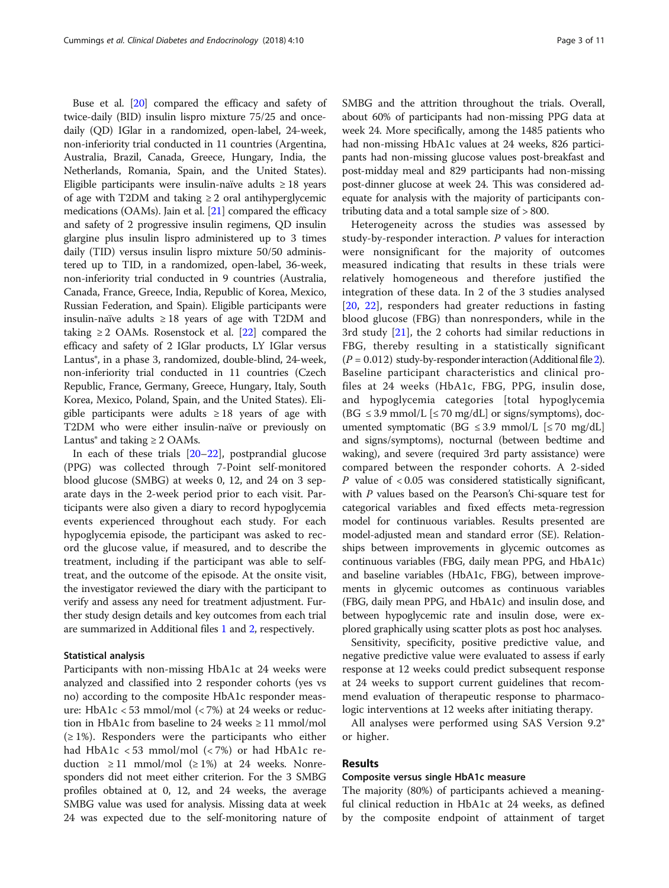Buse et al. [[20\]](#page-10-0) compared the efficacy and safety of twice-daily (BID) insulin lispro mixture 75/25 and oncedaily (QD) IGlar in a randomized, open-label, 24-week, non-inferiority trial conducted in 11 countries (Argentina, Australia, Brazil, Canada, Greece, Hungary, India, the Netherlands, Romania, Spain, and the United States). Eligible participants were insulin-naïve adults  $\geq 18$  years of age with T2DM and taking  $\geq 2$  oral antihyperglycemic medications (OAMs). Jain et al. [[21](#page-10-0)] compared the efficacy and safety of 2 progressive insulin regimens, QD insulin glargine plus insulin lispro administered up to 3 times daily (TID) versus insulin lispro mixture 50/50 administered up to TID, in a randomized, open-label, 36-week, non-inferiority trial conducted in 9 countries (Australia, Canada, France, Greece, India, Republic of Korea, Mexico, Russian Federation, and Spain). Eligible participants were insulin-naïve adults  $\geq 18$  years of age with T2DM and taking  $\geq 2$  OAMs. Rosenstock et al. [[22](#page-10-0)] compared the efficacy and safety of 2 IGlar products, LY IGlar versus Lantus<sup>®</sup>, in a phase 3, randomized, double-blind, 24-week, non-inferiority trial conducted in 11 countries (Czech Republic, France, Germany, Greece, Hungary, Italy, South Korea, Mexico, Poland, Spain, and the United States). Eligible participants were adults  $\geq 18$  years of age with T2DM who were either insulin-naïve or previously on Lantus® and taking  $\geq 2$  OAMs.

In each of these trials [[20](#page-10-0)–[22](#page-10-0)], postprandial glucose (PPG) was collected through 7-Point self-monitored blood glucose (SMBG) at weeks 0, 12, and 24 on 3 separate days in the 2-week period prior to each visit. Participants were also given a diary to record hypoglycemia events experienced throughout each study. For each hypoglycemia episode, the participant was asked to record the glucose value, if measured, and to describe the treatment, including if the participant was able to selftreat, and the outcome of the episode. At the onsite visit, the investigator reviewed the diary with the participant to verify and assess any need for treatment adjustment. Further study design details and key outcomes from each trial are summarized in Additional files [1](#page-9-0) and [2,](#page-9-0) respectively.

#### Statistical analysis

Participants with non-missing HbA1c at 24 weeks were analyzed and classified into 2 responder cohorts (yes vs no) according to the composite HbA1c responder measure: HbA1c < 53 mmol/mol (< 7%) at 24 weeks or reduction in HbA1c from baseline to 24 weeks  $\geq$  11 mmol/mol  $(\geq 1\%)$ . Responders were the participants who either had HbA1c < 53 mmol/mol (< 7%) or had HbA1c reduction ≥ 11 mmol/mol (≥ 1%) at 24 weeks. Nonresponders did not meet either criterion. For the 3 SMBG profiles obtained at 0, 12, and 24 weeks, the average SMBG value was used for analysis. Missing data at week 24 was expected due to the self-monitoring nature of SMBG and the attrition throughout the trials. Overall, about 60% of participants had non-missing PPG data at week 24. More specifically, among the 1485 patients who had non-missing HbA1c values at 24 weeks, 826 participants had non-missing glucose values post-breakfast and post-midday meal and 829 participants had non-missing post-dinner glucose at week 24. This was considered adequate for analysis with the majority of participants contributing data and a total sample size of > 800.

Heterogeneity across the studies was assessed by study-by-responder interaction. P values for interaction were nonsignificant for the majority of outcomes measured indicating that results in these trials were relatively homogeneous and therefore justified the integration of these data. In 2 of the 3 studies analysed [[20](#page-10-0), [22](#page-10-0)], responders had greater reductions in fasting blood glucose (FBG) than nonresponders, while in the 3rd study [[21\]](#page-10-0), the 2 cohorts had similar reductions in FBG, thereby resulting in a statistically significant  $(P = 0.012)$  $(P = 0.012)$  study-by-responder interaction (Additional file 2). Baseline participant characteristics and clinical profiles at 24 weeks (HbA1c, FBG, PPG, insulin dose, and hypoglycemia categories [total hypoglycemia  $(BG \leq 3.9 \text{ mmol/L}$   $\leq 70 \text{ mg/dL}$  or signs/symptoms), documented symptomatic (BG ≤ 3.9 mmol/L [≤ 70 mg/dL] and signs/symptoms), nocturnal (between bedtime and waking), and severe (required 3rd party assistance) were compared between the responder cohorts. A 2-sided  $P$  value of  $<0.05$  was considered statistically significant, with P values based on the Pearson's Chi-square test for categorical variables and fixed effects meta-regression model for continuous variables. Results presented are model-adjusted mean and standard error (SE). Relationships between improvements in glycemic outcomes as continuous variables (FBG, daily mean PPG, and HbA1c) and baseline variables (HbA1c, FBG), between improvements in glycemic outcomes as continuous variables (FBG, daily mean PPG, and HbA1c) and insulin dose, and between hypoglycemic rate and insulin dose, were explored graphically using scatter plots as post hoc analyses.

Sensitivity, specificity, positive predictive value, and negative predictive value were evaluated to assess if early response at 12 weeks could predict subsequent response at 24 weeks to support current guidelines that recommend evaluation of therapeutic response to pharmacologic interventions at 12 weeks after initiating therapy.

All analyses were performed using SAS Version 9.2® or higher.

## Results

#### Composite versus single HbA1c measure

The majority (80%) of participants achieved a meaningful clinical reduction in HbA1c at 24 weeks, as defined by the composite endpoint of attainment of target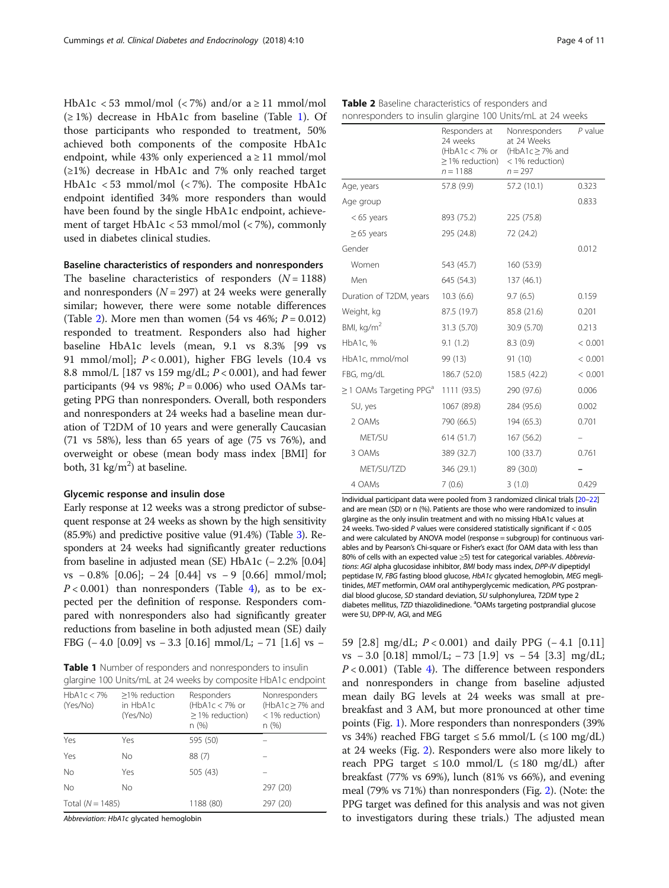HbA1c < 53 mmol/mol (< 7%) and/or  $a \ge 11$  mmol/mol (≥ 1%) decrease in HbA1c from baseline (Table 1). Of those participants who responded to treatment, 50% achieved both components of the composite HbA1c endpoint, while 43% only experienced  $a \ge 11$  mmol/mol (≥1%) decrease in HbA1c and 7% only reached target HbA1c < 53 mmol/mol (< 7%). The composite HbA1c endpoint identified 34% more responders than would have been found by the single HbA1c endpoint, achievement of target HbA1c < 53 mmol/mol (< 7%), commonly used in diabetes clinical studies.

## Baseline characteristics of responders and nonresponders

The baseline characteristics of responders  $(N = 1188)$ and nonresponders  $(N = 297)$  at 24 weeks were generally similar; however, there were some notable differences (Table 2). More men than women  $(54 \text{ vs } 46\%; P = 0.012)$ responded to treatment. Responders also had higher baseline HbA1c levels (mean, 9.1 vs 8.3% [99 vs 91 mmol/mol];  $P < 0.001$ ), higher FBG levels (10.4 vs 8.8 mmol/L [187 vs 159 mg/dL;  $P < 0.001$ ), and had fewer participants (94 vs 98%;  $P = 0.006$ ) who used OAMs targeting PPG than nonresponders. Overall, both responders and nonresponders at 24 weeks had a baseline mean duration of T2DM of 10 years and were generally Caucasian (71 vs 58%), less than 65 years of age (75 vs 76%), and overweight or obese (mean body mass index [BMI] for both,  $31 \text{ kg/m}^2$ ) at baseline.

#### Glycemic response and insulin dose

Early response at 12 weeks was a strong predictor of subsequent response at 24 weeks as shown by the high sensitivity (85.9%) and predictive positive value (91.4%) (Table [3\)](#page-4-0). Responders at 24 weeks had significantly greater reductions from baseline in adjusted mean (SE) HbA1c (− 2.2% [0.04] vs − 0.8% [0.06]; − 24 [0.44] vs − 9 [0.66] mmol/mol;  $P < 0.001$ ) than nonresponders (Table [4](#page-5-0)), as to be expected per the definition of response. Responders compared with nonresponders also had significantly greater reductions from baseline in both adjusted mean (SE) daily

Table 1 Number of responders and nonresponders to insulin glargine 100 Units/mL at 24 weeks by composite HbA1c endpoint

| giargine noo onlies, me at 2 myeers by composite monite enapolite |                                       |                                                                 |                                                                  |  |  |
|-------------------------------------------------------------------|---------------------------------------|-----------------------------------------------------------------|------------------------------------------------------------------|--|--|
| HbA1c < 7%<br>(Yes/No)                                            | >1% reduction<br>in HbA1c<br>(Yes/No) | Responders<br>(HbA1c $<$ 7% or<br>$\geq$ 1% reduction)<br>n (%) | Nonresponders<br>(HbA1c $\geq$ 7% and<br>< 1% reduction)<br>n(%) |  |  |
| Yes                                                               | Yes                                   | 595 (50)                                                        |                                                                  |  |  |
| Yes                                                               | Νo                                    | 88 (7)                                                          |                                                                  |  |  |
| <b>No</b>                                                         | Yes                                   | 505 (43)                                                        |                                                                  |  |  |
| <b>No</b>                                                         | No                                    |                                                                 | 297 (20)                                                         |  |  |
| Total $(N = 1485)$                                                |                                       | 1188 (80)                                                       | 297 (20)                                                         |  |  |

Abbreviation: HbA1c glycated hemoglobin

|                                          | Responders at<br>24 weeks<br>(HbA1c < 7% or<br>$\geq$ 1% reduction)<br>$n = 1188$ | Nonresponders<br>at 24 Weeks<br>(HbA1c $\geq$ 7% and<br>< 1% reduction)<br>$n = 297$ | $P$ value |
|------------------------------------------|-----------------------------------------------------------------------------------|--------------------------------------------------------------------------------------|-----------|
| Age, years                               | 57.8 (9.9)                                                                        | 57.2 (10.1)                                                                          | 0.323     |
| Age group                                |                                                                                   |                                                                                      | 0.833     |
| $< 65$ years                             | 893 (75.2)                                                                        | 225 (75.8)                                                                           |           |
| $\geq$ 65 years                          | 295 (24.8)                                                                        | 72 (24.2)                                                                            |           |
| Gender                                   |                                                                                   |                                                                                      | 0.012     |
| Women                                    | 543 (45.7)                                                                        | 160 (53.9)                                                                           |           |
| Men                                      | 645 (54.3)                                                                        | 137 (46.1)                                                                           |           |
| Duration of T2DM, years                  | 10.3(6.6)                                                                         | 9.7(6.5)                                                                             | 0.159     |
| Weight, kg                               | 87.5 (19.7)                                                                       | 85.8 (21.6)                                                                          | 0.201     |
| BMI, kg/m <sup>2</sup>                   | 31.3 (5.70)                                                                       | 30.9 (5.70)                                                                          | 0.213     |
| HbA1c, %                                 | 9.1(1.2)                                                                          | 8.3(0.9)                                                                             | < 0.001   |
| HbA1c, mmol/mol                          | 99 (13)                                                                           | 91 (10)                                                                              | < 0.001   |
| FBG, mg/dL                               | 186.7 (52.0)                                                                      | 158.5 (42.2)                                                                         | < 0.001   |
| $\geq$ 1 OAMs Targeting PPG <sup>a</sup> | 1111 (93.5)                                                                       | 290 (97.6)                                                                           | 0.006     |
| SU, yes                                  | 1067 (89.8)                                                                       | 284 (95.6)                                                                           | 0.002     |
| 2 OAMs                                   | 790 (66.5)                                                                        | 194 (65.3)                                                                           | 0.701     |
| MET/SU                                   | 614(51.7)                                                                         | 167(56.2)                                                                            |           |
| 3 OAMs                                   | 389 (32.7)                                                                        | 100 (33.7)                                                                           | 0.761     |
| MET/SU/TZD                               | 346 (29.1)                                                                        | 89 (30.0)                                                                            |           |
|                                          |                                                                                   |                                                                                      |           |

Individual participant data were pooled from 3 randomized clinical trials [\[20](#page-10-0)–[22\]](#page-10-0) and are mean (SD) or n (%). Patients are those who were randomized to insulin glargine as the only insulin treatment and with no missing HbA1c values at 24 weeks. Two-sided P values were considered statistically significant if < 0.05 and were calculated by ANOVA model (response = subgroup) for continuous variables and by Pearson's Chi-square or Fisher's exact (for OAM data with less than 80% of cells with an expected value >5) test for categorical variables. Abbreviations: AGI alpha glucosidase inhibitor, BMI body mass index, DPP-IV dipeptidyl peptidase IV, FBG fasting blood glucose, HbA1c glycated hemoglobin, MEG meglitinides, MET metformin, OAM oral antihyperglycemic medication, PPG postprandial blood glucose, SD standard deviation, SU sulphonylurea, T2DM type 2 diabetes mellitus, TZD thiazolidinedione. <sup>a</sup>OAMs targeting postprandial glucose were SU, DPP-IV, AGI, and MEG

4 OAMs 7 (0.6) 3 (1.0) 0.429

FBG (− 4.0 [0.09] vs − 3.3 [0.16] mmol/L; − 71 [1.6] vs − 59 [2.8] mg/dL; P < 0.001) and daily PPG (− 4.1 [0.11] vs − 3.0 [0.18] mmol/L; − 73 [1.9] vs − 54 [3.3] mg/dL;  $P < 0.001$ ) (Table [4](#page-5-0)). The difference between responders and nonresponders in change from baseline adjusted mean daily BG levels at 24 weeks was small at prebreakfast and 3 AM, but more pronounced at other time points (Fig. [1](#page-6-0)). More responders than nonresponders (39% vs 34%) reached FBG target  $\leq$  5.6 mmol/L ( $\leq$  100 mg/dL) at 24 weeks (Fig. [2\)](#page-7-0). Responders were also more likely to reach PPG target  $\leq 10.0$  mmol/L ( $\leq 180$  mg/dL) after breakfast (77% vs 69%), lunch (81% vs 66%), and evening meal (79% vs 71%) than nonresponders (Fig. [2](#page-7-0)). (Note: the PPG target was defined for this analysis and was not given to investigators during these trials.) The adjusted mean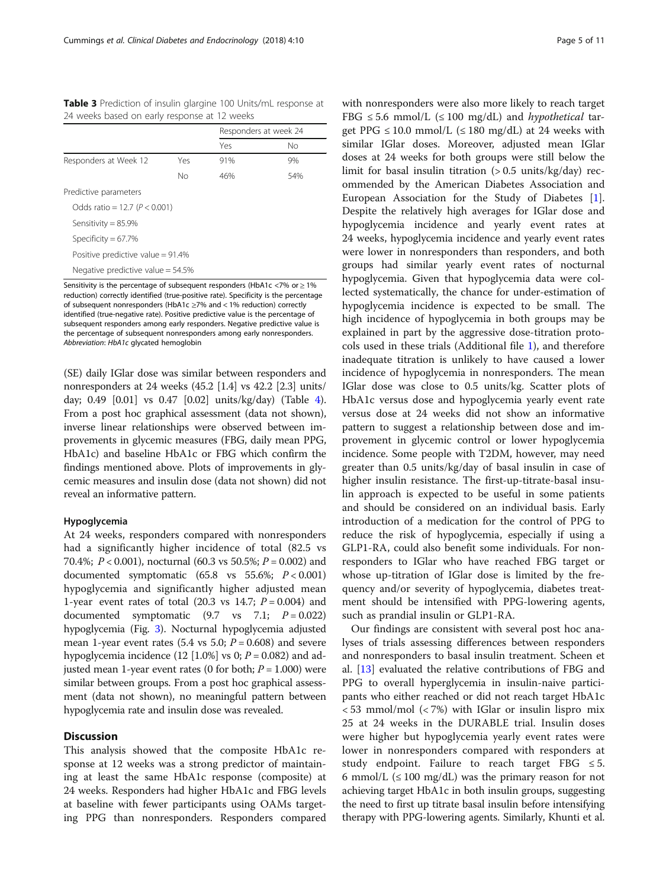<span id="page-4-0"></span>Table 3 Prediction of insulin glargine 100 Units/mL response at 24 weeks based on early response at 12 weeks

|                                      |     | Responders at week 24 |     |  |  |
|--------------------------------------|-----|-----------------------|-----|--|--|
|                                      |     | Yes                   | No  |  |  |
| Responders at Week 12                | Yes | 91%                   | 9%  |  |  |
|                                      | No  | 46%                   | 54% |  |  |
| Predictive parameters                |     |                       |     |  |  |
| Odds ratio = 12.7 ( $P < 0.001$ )    |     |                       |     |  |  |
| Sensitivity = $85.9\%$               |     |                       |     |  |  |
| Specificity = $67.7\%$               |     |                       |     |  |  |
| Positive predictive value = $91.4\%$ |     |                       |     |  |  |
| Negative predictive value = $54.5\%$ |     |                       |     |  |  |

Sensitivity is the percentage of subsequent responders (HbA1c <7% or ≥ 1% reduction) correctly identified (true-positive rate). Specificity is the percentage of subsequent nonresponders (HbA1c ≥7% and < 1% reduction) correctly identified (true-negative rate). Positive predictive value is the percentage of subsequent responders among early responders. Negative predictive value is the percentage of subsequent nonresponders among early nonresponders. Abbreviation: HbA1c glycated hemoglobin

(SE) daily IGlar dose was similar between responders and nonresponders at 24 weeks (45.2 [1.4] vs 42.2 [2.3] units/ day; 0.49 [0.01] vs 0.47 [0.02] units/kg/day) (Table [4](#page-5-0)). From a post hoc graphical assessment (data not shown), inverse linear relationships were observed between improvements in glycemic measures (FBG, daily mean PPG, HbA1c) and baseline HbA1c or FBG which confirm the findings mentioned above. Plots of improvements in glycemic measures and insulin dose (data not shown) did not reveal an informative pattern.

## Hypoglycemia

At 24 weeks, responders compared with nonresponders had a significantly higher incidence of total (82.5 vs 70.4%;  $P < 0.001$ ), nocturnal (60.3 vs 50.5%;  $P = 0.002$ ) and documented symptomatic (65.8 vs 55.6%; P < 0.001) hypoglycemia and significantly higher adjusted mean 1-year event rates of total (20.3 vs 14.7;  $P = 0.004$ ) and documented symptomatic  $(9.7 \text{ vs } 7.1; P = 0.022)$ hypoglycemia (Fig. [3\)](#page-7-0). Nocturnal hypoglycemia adjusted mean 1-year event rates (5.4 vs 5.0;  $P = 0.608$ ) and severe hypoglycemia incidence (12 [1.0%] vs 0;  $P = 0.082$ ) and adjusted mean 1-year event rates (0 for both;  $P = 1.000$ ) were similar between groups. From a post hoc graphical assessment (data not shown), no meaningful pattern between hypoglycemia rate and insulin dose was revealed.

## **Discussion**

This analysis showed that the composite HbA1c response at 12 weeks was a strong predictor of maintaining at least the same HbA1c response (composite) at 24 weeks. Responders had higher HbA1c and FBG levels at baseline with fewer participants using OAMs targeting PPG than nonresponders. Responders compared

with nonresponders were also more likely to reach target FBG  $\leq$  5.6 mmol/L ( $\leq$  100 mg/dL) and *hypothetical* target PPG  $\leq$  10.0 mmol/L ( $\leq$  180 mg/dL) at 24 weeks with similar IGlar doses. Moreover, adjusted mean IGlar doses at 24 weeks for both groups were still below the limit for basal insulin titration  $(> 0.5 \text{ units/kg/day})$  recommended by the American Diabetes Association and European Association for the Study of Diabetes [\[1](#page-9-0)]. Despite the relatively high averages for IGlar dose and hypoglycemia incidence and yearly event rates at 24 weeks, hypoglycemia incidence and yearly event rates were lower in nonresponders than responders, and both groups had similar yearly event rates of nocturnal hypoglycemia. Given that hypoglycemia data were collected systematically, the chance for under-estimation of hypoglycemia incidence is expected to be small. The high incidence of hypoglycemia in both groups may be explained in part by the aggressive dose-titration protocols used in these trials (Additional file [1\)](#page-9-0), and therefore inadequate titration is unlikely to have caused a lower incidence of hypoglycemia in nonresponders. The mean IGlar dose was close to 0.5 units/kg. Scatter plots of HbA1c versus dose and hypoglycemia yearly event rate versus dose at 24 weeks did not show an informative pattern to suggest a relationship between dose and improvement in glycemic control or lower hypoglycemia incidence. Some people with T2DM, however, may need greater than 0.5 units/kg/day of basal insulin in case of higher insulin resistance. The first-up-titrate-basal insulin approach is expected to be useful in some patients and should be considered on an individual basis. Early introduction of a medication for the control of PPG to reduce the risk of hypoglycemia, especially if using a GLP1-RA, could also benefit some individuals. For nonresponders to IGlar who have reached FBG target or whose up-titration of IGlar dose is limited by the frequency and/or severity of hypoglycemia, diabetes treatment should be intensified with PPG-lowering agents, such as prandial insulin or GLP1-RA.

Our findings are consistent with several post hoc analyses of trials assessing differences between responders and nonresponders to basal insulin treatment. Scheen et al. [[13\]](#page-9-0) evaluated the relative contributions of FBG and PPG to overall hyperglycemia in insulin-naive participants who either reached or did not reach target HbA1c  $<$  53 mmol/mol ( $<$  7%) with IGlar or insulin lispro mix 25 at 24 weeks in the DURABLE trial. Insulin doses were higher but hypoglycemia yearly event rates were lower in nonresponders compared with responders at study endpoint. Failure to reach target FBG  $\leq$  5. 6 mmol/L  $(\leq 100 \text{ mg/dL})$  was the primary reason for not achieving target HbA1c in both insulin groups, suggesting the need to first up titrate basal insulin before intensifying therapy with PPG-lowering agents. Similarly, Khunti et al.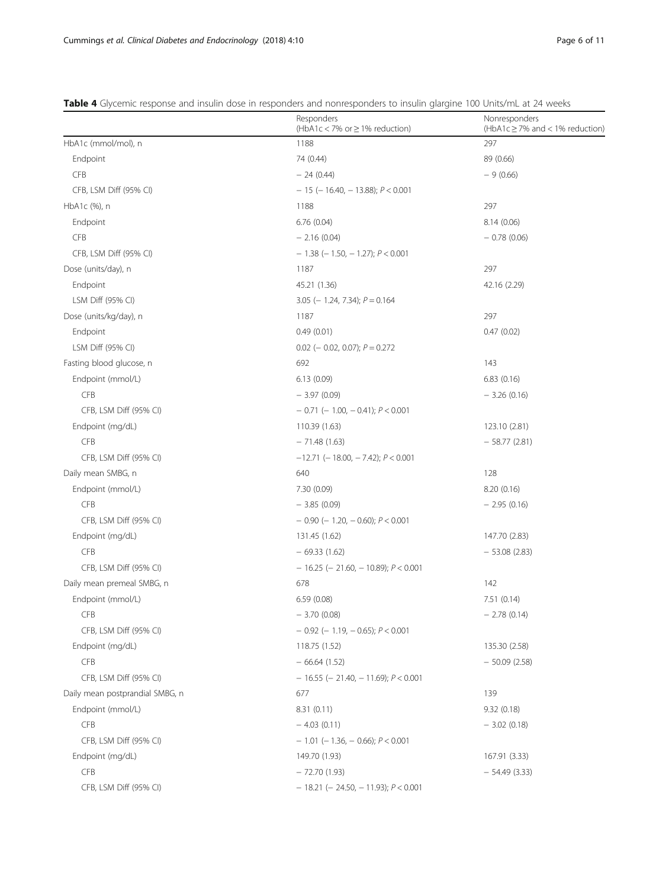<span id="page-5-0"></span>

|  | <b>Table 4</b> Glycemic response and insulin dose in responders and nonresponders to insulin glargine 100 Units/mL at 24 weeks |  |  |  |  |
|--|--------------------------------------------------------------------------------------------------------------------------------|--|--|--|--|
|  |                                                                                                                                |  |  |  |  |

| HbA1c (mmol/mol), n<br>297<br>1188<br>Endpoint<br>74 (0.44)<br>89 (0.66)<br><b>CFB</b><br>$-24(0.44)$<br>$-9(0.66)$<br>CFB, LSM Diff (95% CI)<br>$-15$ (-16.40, -13.88); $P < 0.001$<br>HbA1c (%), n<br>1188<br>297<br>Endpoint<br>6.76(0.04)<br>8.14(0.06)<br><b>CFB</b><br>$-2.16(0.04)$<br>$-0.78(0.06)$<br>CFB, LSM Diff (95% CI)<br>$-1.38$ ( $-1.50$ , $-1.27$ ); $P < 0.001$<br>297<br>Dose (units/day), n<br>1187<br>Endpoint<br>42.16 (2.29)<br>45.21 (1.36)<br>LSM Diff (95% CI)<br>$3.05$ (- 1.24, 7.34); $P = 0.164$<br>297<br>Dose (units/kg/day), n<br>1187<br>Endpoint<br>0.49(0.01)<br>0.47(0.02)<br>LSM Diff (95% CI)<br>$0.02$ (- 0.02, 0.07); $P = 0.272$<br>Fasting blood glucose, n<br>692<br>143<br>Endpoint (mmol/L)<br>6.13(0.09)<br>6.83(0.16)<br><b>CFB</b><br>$-3.97(0.09)$<br>$-3.26(0.16)$<br>CFB, LSM Diff (95% CI)<br>$-$ 0.71 (-1.00, -0.41); $P < 0.001$<br>Endpoint (mg/dL)<br>110.39 (1.63)<br>123.10 (2.81)<br><b>CFB</b><br>$-71.48(1.63)$<br>$-58.77(2.81)$<br>CFB, LSM Diff (95% CI)<br>$-12.71$ (-18.00, -7.42); $P < 0.001$<br>Daily mean SMBG, n<br>640<br>128<br>Endpoint (mmol/L)<br>7.30 (0.09)<br>8.20(0.16)<br><b>CFB</b><br>$-3.85(0.09)$<br>$-2.95(0.16)$<br>CFB, LSM Diff (95% CI)<br>$-$ 0.90 ( $-$ 1.20, $-$ 0.60); $P < 0.001$<br>Endpoint (mg/dL)<br>131.45 (1.62)<br>147.70 (2.83)<br><b>CFB</b><br>$-69.33(1.62)$<br>$-53.08(2.83)$<br>CFB, LSM Diff (95% CI)<br>$-16.25$ (- 21.60, - 10.89); $P < 0.001$<br>Daily mean premeal SMBG, n<br>678<br>142<br>Endpoint (mmol/L)<br>6.59 (0.08)<br>7.51 (0.14)<br><b>CFB</b><br>$-3.70(0.08)$<br>$-2.78(0.14)$<br>$-$ 0.92 (- 1.19, - 0.65); $P < 0.001$<br>CFB, LSM Diff (95% CI)<br>Endpoint (mg/dL)<br>135.30 (2.58)<br>118.75 (1.52)<br><b>CFB</b><br>$-66.64(1.52)$<br>$-50.09(2.58)$<br>CFB, LSM Diff (95% CI)<br>$-16.55$ (- 21.40, - 11.69); $P < 0.001$<br>Daily mean postprandial SMBG, n<br>677<br>139<br>Endpoint (mmol/L)<br>8.31(0.11)<br>9.32(0.18)<br><b>CFB</b><br>$-4.03(0.11)$<br>$-3.02(0.18)$<br>CFB, LSM Diff (95% CI)<br>$-1.01$ (-1.36, -0.66); $P < 0.001$<br>149.70 (1.93)<br>Endpoint (mg/dL)<br>167.91 (3.33)<br><b>CFB</b><br>$-72.70(1.93)$<br>$-54.49(3.33)$<br>CFB, LSM Diff (95% CI)<br>$-18.21$ (-24.50, -11.93); $P < 0.001$ | Responders<br>(HbA1c < 7% or ≥ 1% reduction) | Nonresponders<br>(HbA1c $\geq$ 7% and < 1% reduction) |  |  |
|-------------------------------------------------------------------------------------------------------------------------------------------------------------------------------------------------------------------------------------------------------------------------------------------------------------------------------------------------------------------------------------------------------------------------------------------------------------------------------------------------------------------------------------------------------------------------------------------------------------------------------------------------------------------------------------------------------------------------------------------------------------------------------------------------------------------------------------------------------------------------------------------------------------------------------------------------------------------------------------------------------------------------------------------------------------------------------------------------------------------------------------------------------------------------------------------------------------------------------------------------------------------------------------------------------------------------------------------------------------------------------------------------------------------------------------------------------------------------------------------------------------------------------------------------------------------------------------------------------------------------------------------------------------------------------------------------------------------------------------------------------------------------------------------------------------------------------------------------------------------------------------------------------------------------------------------------------------------------------------------------------------------------------------------------------------------------------------------------------------------------------------------------------------------------------------------------------------------------------------------------------------------|----------------------------------------------|-------------------------------------------------------|--|--|
|                                                                                                                                                                                                                                                                                                                                                                                                                                                                                                                                                                                                                                                                                                                                                                                                                                                                                                                                                                                                                                                                                                                                                                                                                                                                                                                                                                                                                                                                                                                                                                                                                                                                                                                                                                                                                                                                                                                                                                                                                                                                                                                                                                                                                                                                   |                                              |                                                       |  |  |
|                                                                                                                                                                                                                                                                                                                                                                                                                                                                                                                                                                                                                                                                                                                                                                                                                                                                                                                                                                                                                                                                                                                                                                                                                                                                                                                                                                                                                                                                                                                                                                                                                                                                                                                                                                                                                                                                                                                                                                                                                                                                                                                                                                                                                                                                   |                                              |                                                       |  |  |
|                                                                                                                                                                                                                                                                                                                                                                                                                                                                                                                                                                                                                                                                                                                                                                                                                                                                                                                                                                                                                                                                                                                                                                                                                                                                                                                                                                                                                                                                                                                                                                                                                                                                                                                                                                                                                                                                                                                                                                                                                                                                                                                                                                                                                                                                   |                                              |                                                       |  |  |
|                                                                                                                                                                                                                                                                                                                                                                                                                                                                                                                                                                                                                                                                                                                                                                                                                                                                                                                                                                                                                                                                                                                                                                                                                                                                                                                                                                                                                                                                                                                                                                                                                                                                                                                                                                                                                                                                                                                                                                                                                                                                                                                                                                                                                                                                   |                                              |                                                       |  |  |
|                                                                                                                                                                                                                                                                                                                                                                                                                                                                                                                                                                                                                                                                                                                                                                                                                                                                                                                                                                                                                                                                                                                                                                                                                                                                                                                                                                                                                                                                                                                                                                                                                                                                                                                                                                                                                                                                                                                                                                                                                                                                                                                                                                                                                                                                   |                                              |                                                       |  |  |
|                                                                                                                                                                                                                                                                                                                                                                                                                                                                                                                                                                                                                                                                                                                                                                                                                                                                                                                                                                                                                                                                                                                                                                                                                                                                                                                                                                                                                                                                                                                                                                                                                                                                                                                                                                                                                                                                                                                                                                                                                                                                                                                                                                                                                                                                   |                                              |                                                       |  |  |
|                                                                                                                                                                                                                                                                                                                                                                                                                                                                                                                                                                                                                                                                                                                                                                                                                                                                                                                                                                                                                                                                                                                                                                                                                                                                                                                                                                                                                                                                                                                                                                                                                                                                                                                                                                                                                                                                                                                                                                                                                                                                                                                                                                                                                                                                   |                                              |                                                       |  |  |
|                                                                                                                                                                                                                                                                                                                                                                                                                                                                                                                                                                                                                                                                                                                                                                                                                                                                                                                                                                                                                                                                                                                                                                                                                                                                                                                                                                                                                                                                                                                                                                                                                                                                                                                                                                                                                                                                                                                                                                                                                                                                                                                                                                                                                                                                   |                                              |                                                       |  |  |
|                                                                                                                                                                                                                                                                                                                                                                                                                                                                                                                                                                                                                                                                                                                                                                                                                                                                                                                                                                                                                                                                                                                                                                                                                                                                                                                                                                                                                                                                                                                                                                                                                                                                                                                                                                                                                                                                                                                                                                                                                                                                                                                                                                                                                                                                   |                                              |                                                       |  |  |
|                                                                                                                                                                                                                                                                                                                                                                                                                                                                                                                                                                                                                                                                                                                                                                                                                                                                                                                                                                                                                                                                                                                                                                                                                                                                                                                                                                                                                                                                                                                                                                                                                                                                                                                                                                                                                                                                                                                                                                                                                                                                                                                                                                                                                                                                   |                                              |                                                       |  |  |
|                                                                                                                                                                                                                                                                                                                                                                                                                                                                                                                                                                                                                                                                                                                                                                                                                                                                                                                                                                                                                                                                                                                                                                                                                                                                                                                                                                                                                                                                                                                                                                                                                                                                                                                                                                                                                                                                                                                                                                                                                                                                                                                                                                                                                                                                   |                                              |                                                       |  |  |
|                                                                                                                                                                                                                                                                                                                                                                                                                                                                                                                                                                                                                                                                                                                                                                                                                                                                                                                                                                                                                                                                                                                                                                                                                                                                                                                                                                                                                                                                                                                                                                                                                                                                                                                                                                                                                                                                                                                                                                                                                                                                                                                                                                                                                                                                   |                                              |                                                       |  |  |
|                                                                                                                                                                                                                                                                                                                                                                                                                                                                                                                                                                                                                                                                                                                                                                                                                                                                                                                                                                                                                                                                                                                                                                                                                                                                                                                                                                                                                                                                                                                                                                                                                                                                                                                                                                                                                                                                                                                                                                                                                                                                                                                                                                                                                                                                   |                                              |                                                       |  |  |
|                                                                                                                                                                                                                                                                                                                                                                                                                                                                                                                                                                                                                                                                                                                                                                                                                                                                                                                                                                                                                                                                                                                                                                                                                                                                                                                                                                                                                                                                                                                                                                                                                                                                                                                                                                                                                                                                                                                                                                                                                                                                                                                                                                                                                                                                   |                                              |                                                       |  |  |
|                                                                                                                                                                                                                                                                                                                                                                                                                                                                                                                                                                                                                                                                                                                                                                                                                                                                                                                                                                                                                                                                                                                                                                                                                                                                                                                                                                                                                                                                                                                                                                                                                                                                                                                                                                                                                                                                                                                                                                                                                                                                                                                                                                                                                                                                   |                                              |                                                       |  |  |
|                                                                                                                                                                                                                                                                                                                                                                                                                                                                                                                                                                                                                                                                                                                                                                                                                                                                                                                                                                                                                                                                                                                                                                                                                                                                                                                                                                                                                                                                                                                                                                                                                                                                                                                                                                                                                                                                                                                                                                                                                                                                                                                                                                                                                                                                   |                                              |                                                       |  |  |
|                                                                                                                                                                                                                                                                                                                                                                                                                                                                                                                                                                                                                                                                                                                                                                                                                                                                                                                                                                                                                                                                                                                                                                                                                                                                                                                                                                                                                                                                                                                                                                                                                                                                                                                                                                                                                                                                                                                                                                                                                                                                                                                                                                                                                                                                   |                                              |                                                       |  |  |
|                                                                                                                                                                                                                                                                                                                                                                                                                                                                                                                                                                                                                                                                                                                                                                                                                                                                                                                                                                                                                                                                                                                                                                                                                                                                                                                                                                                                                                                                                                                                                                                                                                                                                                                                                                                                                                                                                                                                                                                                                                                                                                                                                                                                                                                                   |                                              |                                                       |  |  |
|                                                                                                                                                                                                                                                                                                                                                                                                                                                                                                                                                                                                                                                                                                                                                                                                                                                                                                                                                                                                                                                                                                                                                                                                                                                                                                                                                                                                                                                                                                                                                                                                                                                                                                                                                                                                                                                                                                                                                                                                                                                                                                                                                                                                                                                                   |                                              |                                                       |  |  |
|                                                                                                                                                                                                                                                                                                                                                                                                                                                                                                                                                                                                                                                                                                                                                                                                                                                                                                                                                                                                                                                                                                                                                                                                                                                                                                                                                                                                                                                                                                                                                                                                                                                                                                                                                                                                                                                                                                                                                                                                                                                                                                                                                                                                                                                                   |                                              |                                                       |  |  |
|                                                                                                                                                                                                                                                                                                                                                                                                                                                                                                                                                                                                                                                                                                                                                                                                                                                                                                                                                                                                                                                                                                                                                                                                                                                                                                                                                                                                                                                                                                                                                                                                                                                                                                                                                                                                                                                                                                                                                                                                                                                                                                                                                                                                                                                                   |                                              |                                                       |  |  |
|                                                                                                                                                                                                                                                                                                                                                                                                                                                                                                                                                                                                                                                                                                                                                                                                                                                                                                                                                                                                                                                                                                                                                                                                                                                                                                                                                                                                                                                                                                                                                                                                                                                                                                                                                                                                                                                                                                                                                                                                                                                                                                                                                                                                                                                                   |                                              |                                                       |  |  |
|                                                                                                                                                                                                                                                                                                                                                                                                                                                                                                                                                                                                                                                                                                                                                                                                                                                                                                                                                                                                                                                                                                                                                                                                                                                                                                                                                                                                                                                                                                                                                                                                                                                                                                                                                                                                                                                                                                                                                                                                                                                                                                                                                                                                                                                                   |                                              |                                                       |  |  |
|                                                                                                                                                                                                                                                                                                                                                                                                                                                                                                                                                                                                                                                                                                                                                                                                                                                                                                                                                                                                                                                                                                                                                                                                                                                                                                                                                                                                                                                                                                                                                                                                                                                                                                                                                                                                                                                                                                                                                                                                                                                                                                                                                                                                                                                                   |                                              |                                                       |  |  |
|                                                                                                                                                                                                                                                                                                                                                                                                                                                                                                                                                                                                                                                                                                                                                                                                                                                                                                                                                                                                                                                                                                                                                                                                                                                                                                                                                                                                                                                                                                                                                                                                                                                                                                                                                                                                                                                                                                                                                                                                                                                                                                                                                                                                                                                                   |                                              |                                                       |  |  |
|                                                                                                                                                                                                                                                                                                                                                                                                                                                                                                                                                                                                                                                                                                                                                                                                                                                                                                                                                                                                                                                                                                                                                                                                                                                                                                                                                                                                                                                                                                                                                                                                                                                                                                                                                                                                                                                                                                                                                                                                                                                                                                                                                                                                                                                                   |                                              |                                                       |  |  |
|                                                                                                                                                                                                                                                                                                                                                                                                                                                                                                                                                                                                                                                                                                                                                                                                                                                                                                                                                                                                                                                                                                                                                                                                                                                                                                                                                                                                                                                                                                                                                                                                                                                                                                                                                                                                                                                                                                                                                                                                                                                                                                                                                                                                                                                                   |                                              |                                                       |  |  |
|                                                                                                                                                                                                                                                                                                                                                                                                                                                                                                                                                                                                                                                                                                                                                                                                                                                                                                                                                                                                                                                                                                                                                                                                                                                                                                                                                                                                                                                                                                                                                                                                                                                                                                                                                                                                                                                                                                                                                                                                                                                                                                                                                                                                                                                                   |                                              |                                                       |  |  |
|                                                                                                                                                                                                                                                                                                                                                                                                                                                                                                                                                                                                                                                                                                                                                                                                                                                                                                                                                                                                                                                                                                                                                                                                                                                                                                                                                                                                                                                                                                                                                                                                                                                                                                                                                                                                                                                                                                                                                                                                                                                                                                                                                                                                                                                                   |                                              |                                                       |  |  |
|                                                                                                                                                                                                                                                                                                                                                                                                                                                                                                                                                                                                                                                                                                                                                                                                                                                                                                                                                                                                                                                                                                                                                                                                                                                                                                                                                                                                                                                                                                                                                                                                                                                                                                                                                                                                                                                                                                                                                                                                                                                                                                                                                                                                                                                                   |                                              |                                                       |  |  |
|                                                                                                                                                                                                                                                                                                                                                                                                                                                                                                                                                                                                                                                                                                                                                                                                                                                                                                                                                                                                                                                                                                                                                                                                                                                                                                                                                                                                                                                                                                                                                                                                                                                                                                                                                                                                                                                                                                                                                                                                                                                                                                                                                                                                                                                                   |                                              |                                                       |  |  |
|                                                                                                                                                                                                                                                                                                                                                                                                                                                                                                                                                                                                                                                                                                                                                                                                                                                                                                                                                                                                                                                                                                                                                                                                                                                                                                                                                                                                                                                                                                                                                                                                                                                                                                                                                                                                                                                                                                                                                                                                                                                                                                                                                                                                                                                                   |                                              |                                                       |  |  |
|                                                                                                                                                                                                                                                                                                                                                                                                                                                                                                                                                                                                                                                                                                                                                                                                                                                                                                                                                                                                                                                                                                                                                                                                                                                                                                                                                                                                                                                                                                                                                                                                                                                                                                                                                                                                                                                                                                                                                                                                                                                                                                                                                                                                                                                                   |                                              |                                                       |  |  |
|                                                                                                                                                                                                                                                                                                                                                                                                                                                                                                                                                                                                                                                                                                                                                                                                                                                                                                                                                                                                                                                                                                                                                                                                                                                                                                                                                                                                                                                                                                                                                                                                                                                                                                                                                                                                                                                                                                                                                                                                                                                                                                                                                                                                                                                                   |                                              |                                                       |  |  |
|                                                                                                                                                                                                                                                                                                                                                                                                                                                                                                                                                                                                                                                                                                                                                                                                                                                                                                                                                                                                                                                                                                                                                                                                                                                                                                                                                                                                                                                                                                                                                                                                                                                                                                                                                                                                                                                                                                                                                                                                                                                                                                                                                                                                                                                                   |                                              |                                                       |  |  |
|                                                                                                                                                                                                                                                                                                                                                                                                                                                                                                                                                                                                                                                                                                                                                                                                                                                                                                                                                                                                                                                                                                                                                                                                                                                                                                                                                                                                                                                                                                                                                                                                                                                                                                                                                                                                                                                                                                                                                                                                                                                                                                                                                                                                                                                                   |                                              |                                                       |  |  |
|                                                                                                                                                                                                                                                                                                                                                                                                                                                                                                                                                                                                                                                                                                                                                                                                                                                                                                                                                                                                                                                                                                                                                                                                                                                                                                                                                                                                                                                                                                                                                                                                                                                                                                                                                                                                                                                                                                                                                                                                                                                                                                                                                                                                                                                                   |                                              |                                                       |  |  |
|                                                                                                                                                                                                                                                                                                                                                                                                                                                                                                                                                                                                                                                                                                                                                                                                                                                                                                                                                                                                                                                                                                                                                                                                                                                                                                                                                                                                                                                                                                                                                                                                                                                                                                                                                                                                                                                                                                                                                                                                                                                                                                                                                                                                                                                                   |                                              |                                                       |  |  |
|                                                                                                                                                                                                                                                                                                                                                                                                                                                                                                                                                                                                                                                                                                                                                                                                                                                                                                                                                                                                                                                                                                                                                                                                                                                                                                                                                                                                                                                                                                                                                                                                                                                                                                                                                                                                                                                                                                                                                                                                                                                                                                                                                                                                                                                                   |                                              |                                                       |  |  |
|                                                                                                                                                                                                                                                                                                                                                                                                                                                                                                                                                                                                                                                                                                                                                                                                                                                                                                                                                                                                                                                                                                                                                                                                                                                                                                                                                                                                                                                                                                                                                                                                                                                                                                                                                                                                                                                                                                                                                                                                                                                                                                                                                                                                                                                                   |                                              |                                                       |  |  |
|                                                                                                                                                                                                                                                                                                                                                                                                                                                                                                                                                                                                                                                                                                                                                                                                                                                                                                                                                                                                                                                                                                                                                                                                                                                                                                                                                                                                                                                                                                                                                                                                                                                                                                                                                                                                                                                                                                                                                                                                                                                                                                                                                                                                                                                                   |                                              |                                                       |  |  |
|                                                                                                                                                                                                                                                                                                                                                                                                                                                                                                                                                                                                                                                                                                                                                                                                                                                                                                                                                                                                                                                                                                                                                                                                                                                                                                                                                                                                                                                                                                                                                                                                                                                                                                                                                                                                                                                                                                                                                                                                                                                                                                                                                                                                                                                                   |                                              |                                                       |  |  |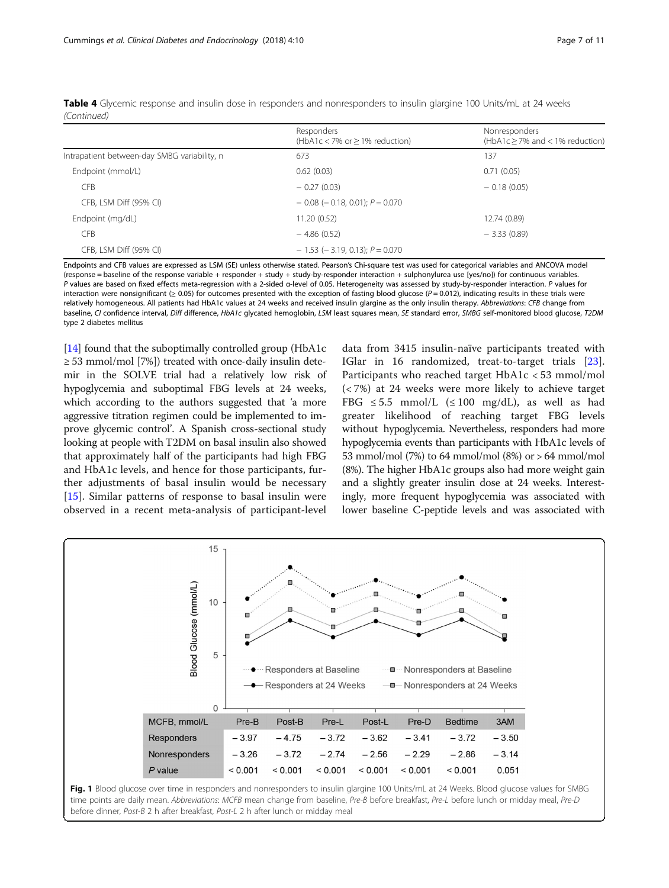|                                              | Responders<br>(HbA1c < 7% or $\geq$ 1% reduction) | Nonresponders<br>$(HbA1c \ge 7\%$ and < 1% reduction) |
|----------------------------------------------|---------------------------------------------------|-------------------------------------------------------|
| Intrapatient between-day SMBG variability, n | 673                                               | 137                                                   |
| Endpoint (mmol/L)                            | 0.62(0.03)                                        | 0.71(0.05)                                            |
| <b>CFB</b>                                   | $-0.27(0.03)$                                     | $-0.18(0.05)$                                         |
| CFB, LSM Diff (95% CI)                       | $-$ 0.08 ( $-$ 0.18, 0.01); $P = 0.070$           |                                                       |
| Endpoint (mg/dL)                             | 11.20(0.52)                                       | 12.74 (0.89)                                          |
| <b>CFB</b>                                   | $-4.86(0.52)$                                     | $-3.33(0.89)$                                         |
| CFB, LSM Diff (95% CI)                       | $-1.53$ ( $-3.19$ , 0.13); $P = 0.070$            |                                                       |

<span id="page-6-0"></span>Table 4 Glycemic response and insulin dose in responders and nonresponders to insulin glargine 100 Units/mL at 24 weeks (Continued)

Endpoints and CFB values are expressed as LSM (SE) unless otherwise stated. Pearson's Chi-square test was used for categorical variables and ANCOVA model (response = baseline of the response variable + responder + study + study-by-responder interaction + sulphonylurea use [yes/no]) for continuous variables. P values are based on fixed effects meta-regression with a 2-sided α-level of 0.05. Heterogeneity was assessed by study-by-responder interaction. P values for interaction were nonsignificant ( $\geq 0.05$ ) for outcomes presented with the exception of fasting blood glucose ( $P = 0.012$ ), indicating results in these trials were relatively homogeneous. All patients had HbA1c values at 24 weeks and received insulin glargine as the only insulin therapy. Abbreviations: CFB change from baseline, CI confidence interval, Diff difference, HbA1c glycated hemoglobin, LSM least squares mean, SE standard error, SMBG self-monitored blood glucose, T2DM type 2 diabetes mellitus

[[14](#page-9-0)] found that the suboptimally controlled group (HbA1c) ≥ 53 mmol/mol [7%]) treated with once-daily insulin detemir in the SOLVE trial had a relatively low risk of hypoglycemia and suboptimal FBG levels at 24 weeks, which according to the authors suggested that 'a more aggressive titration regimen could be implemented to improve glycemic control'. A Spanish cross-sectional study looking at people with T2DM on basal insulin also showed that approximately half of the participants had high FBG and HbA1c levels, and hence for those participants, further adjustments of basal insulin would be necessary [[15\]](#page-9-0). Similar patterns of response to basal insulin were observed in a recent meta-analysis of participant-level

data from 3415 insulin-naïve participants treated with IGlar in 16 randomized, treat-to-target trials [\[23](#page-10-0)]. Participants who reached target HbA1c < 53 mmol/mol (< 7%) at 24 weeks were more likely to achieve target FBG  $\leq$  5.5 mmol/L ( $\leq$  100 mg/dL), as well as had greater likelihood of reaching target FBG levels without hypoglycemia. Nevertheless, responders had more hypoglycemia events than participants with HbA1c levels of 53 mmol/mol (7%) to 64 mmol/mol (8%) or > 64 mmol/mol (8%). The higher HbA1c groups also had more weight gain and a slightly greater insulin dose at 24 weeks. Interestingly, more frequent hypoglycemia was associated with lower baseline C-peptide levels and was associated with



time points are daily mean. Abbreviations: MCFB mean change from baseline, Pre-B before breakfast, Pre-L before lunch or midday meal, Pre-D before dinner, Post-B 2 h after breakfast, Post-L 2 h after lunch or midday meal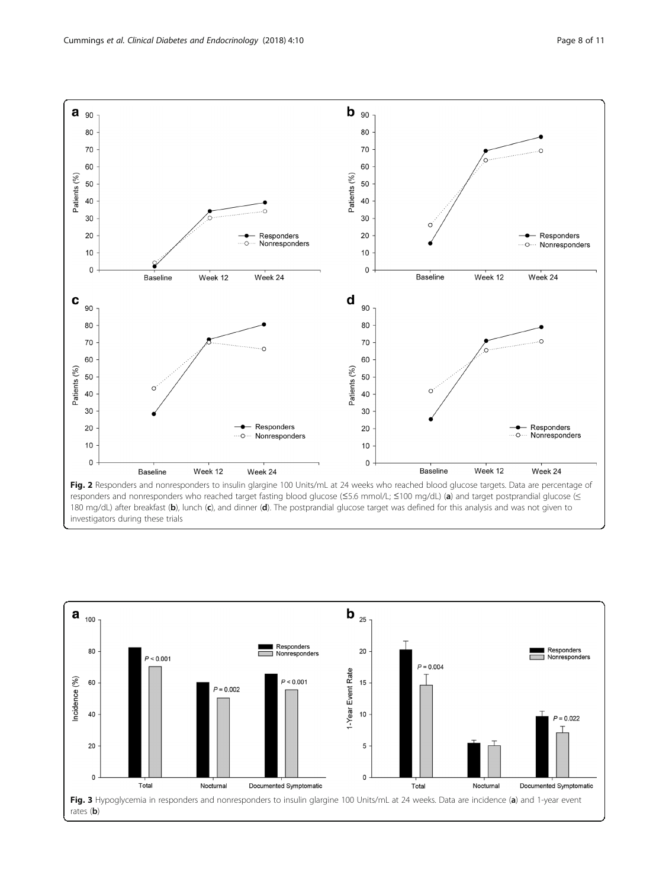<span id="page-7-0"></span>



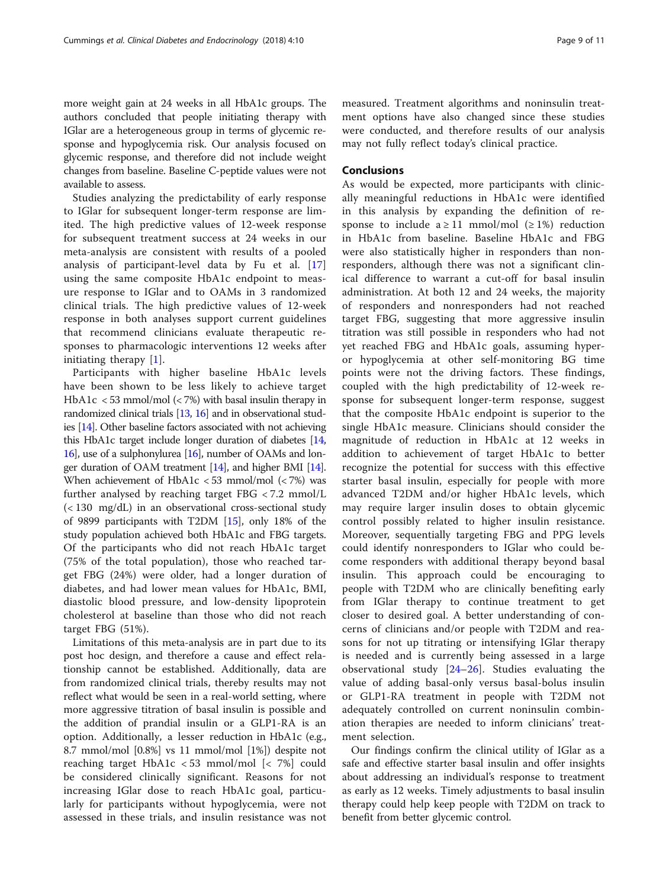more weight gain at 24 weeks in all HbA1c groups. The authors concluded that people initiating therapy with IGlar are a heterogeneous group in terms of glycemic response and hypoglycemia risk. Our analysis focused on glycemic response, and therefore did not include weight changes from baseline. Baseline C-peptide values were not available to assess.

Studies analyzing the predictability of early response to IGlar for subsequent longer-term response are limited. The high predictive values of 12-week response for subsequent treatment success at 24 weeks in our meta-analysis are consistent with results of a pooled analysis of participant-level data by Fu et al. [\[17](#page-9-0)] using the same composite HbA1c endpoint to measure response to IGlar and to OAMs in 3 randomized clinical trials. The high predictive values of 12-week response in both analyses support current guidelines that recommend clinicians evaluate therapeutic responses to pharmacologic interventions 12 weeks after initiating therapy [\[1](#page-9-0)].

Participants with higher baseline HbA1c levels have been shown to be less likely to achieve target HbA1c < 53 mmol/mol (< 7%) with basal insulin therapy in randomized clinical trials [[13](#page-9-0), [16](#page-9-0)] and in observational studies [\[14\]](#page-9-0). Other baseline factors associated with not achieving this HbA1c target include longer duration of diabetes [\[14](#page-9-0), [16](#page-9-0)], use of a sulphonylurea [\[16](#page-9-0)], number of OAMs and longer duration of OAM treatment [[14\]](#page-9-0), and higher BMI [\[14](#page-9-0)]. When achievement of HbA1c  $<$  53 mmol/mol  $(<$  7%) was further analysed by reaching target FBG < 7.2 mmol/L (< 130 mg/dL) in an observational cross-sectional study of 9899 participants with T2DM [\[15\]](#page-9-0), only 18% of the study population achieved both HbA1c and FBG targets. Of the participants who did not reach HbA1c target (75% of the total population), those who reached target FBG (24%) were older, had a longer duration of diabetes, and had lower mean values for HbA1c, BMI, diastolic blood pressure, and low-density lipoprotein cholesterol at baseline than those who did not reach target FBG (51%).

Limitations of this meta-analysis are in part due to its post hoc design, and therefore a cause and effect relationship cannot be established. Additionally, data are from randomized clinical trials, thereby results may not reflect what would be seen in a real-world setting, where more aggressive titration of basal insulin is possible and the addition of prandial insulin or a GLP1-RA is an option. Additionally, a lesser reduction in HbA1c (e.g., 8.7 mmol/mol [0.8%] vs 11 mmol/mol [1%]) despite not reaching target HbA1c < 53 mmol/mol [< 7%] could be considered clinically significant. Reasons for not increasing IGlar dose to reach HbA1c goal, particularly for participants without hypoglycemia, were not assessed in these trials, and insulin resistance was not measured. Treatment algorithms and noninsulin treatment options have also changed since these studies were conducted, and therefore results of our analysis may not fully reflect today's clinical practice.

## Conclusions

As would be expected, more participants with clinically meaningful reductions in HbA1c were identified in this analysis by expanding the definition of response to include  $a \ge 11$  mmol/mol ( $\ge 1\%$ ) reduction in HbA1c from baseline. Baseline HbA1c and FBG were also statistically higher in responders than nonresponders, although there was not a significant clinical difference to warrant a cut-off for basal insulin administration. At both 12 and 24 weeks, the majority of responders and nonresponders had not reached target FBG, suggesting that more aggressive insulin titration was still possible in responders who had not yet reached FBG and HbA1c goals, assuming hyperor hypoglycemia at other self-monitoring BG time points were not the driving factors. These findings, coupled with the high predictability of 12-week response for subsequent longer-term response, suggest that the composite HbA1c endpoint is superior to the single HbA1c measure. Clinicians should consider the magnitude of reduction in HbA1c at 12 weeks in addition to achievement of target HbA1c to better recognize the potential for success with this effective starter basal insulin, especially for people with more advanced T2DM and/or higher HbA1c levels, which may require larger insulin doses to obtain glycemic control possibly related to higher insulin resistance. Moreover, sequentially targeting FBG and PPG levels could identify nonresponders to IGlar who could become responders with additional therapy beyond basal insulin. This approach could be encouraging to people with T2DM who are clinically benefiting early from IGlar therapy to continue treatment to get closer to desired goal. A better understanding of concerns of clinicians and/or people with T2DM and reasons for not up titrating or intensifying IGlar therapy is needed and is currently being assessed in a large observational study [\[24](#page-10-0)–[26](#page-10-0)]. Studies evaluating the value of adding basal-only versus basal-bolus insulin or GLP1-RA treatment in people with T2DM not adequately controlled on current noninsulin combination therapies are needed to inform clinicians' treatment selection.

Our findings confirm the clinical utility of IGlar as a safe and effective starter basal insulin and offer insights about addressing an individual's response to treatment as early as 12 weeks. Timely adjustments to basal insulin therapy could help keep people with T2DM on track to benefit from better glycemic control.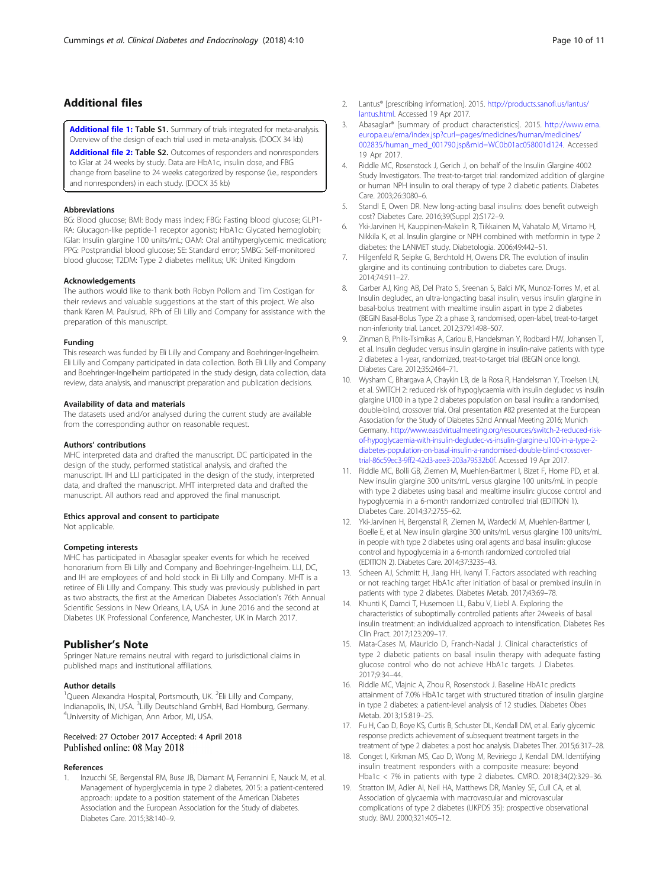## <span id="page-9-0"></span>Additional files

[Additional file 1:](https://doi.org/10.1186/s40842-018-0059-2) Table S1. Summary of trials integrated for meta-analysis. Overview of the design of each trial used in meta-analysis. (DOCX 34 kb)

[Additional file 2:](https://doi.org/10.1186/s40842-018-0059-2) Table S2. Outcomes of responders and nonresponders to IGlar at 24 weeks by study. Data are HbA1c, insulin dose, and FBG change from baseline to 24 weeks categorized by response (i.e., responders and nonresponders) in each study. (DOCX 35 kb)

#### Abbreviations

BG: Blood glucose; BMI: Body mass index; FBG: Fasting blood glucose; GLP1- RA: Glucagon-like peptide-1 receptor agonist; HbA1c: Glycated hemoglobin; IGlar: Insulin glargine 100 units/mL; OAM: Oral antihyperglycemic medication; PPG: Postprandial blood glucose; SE: Standard error; SMBG: Self-monitored blood glucose; T2DM: Type 2 diabetes mellitus; UK: United Kingdom

#### Acknowledgements

The authors would like to thank both Robyn Pollom and Tim Costigan for their reviews and valuable suggestions at the start of this project. We also thank Karen M. Paulsrud, RPh of Eli Lilly and Company for assistance with the preparation of this manuscript.

#### Funding

This research was funded by Eli Lilly and Company and Boehringer-Ingelheim. Eli Lilly and Company participated in data collection. Both Eli Lilly and Company and Boehringer-Ingelheim participated in the study design, data collection, data review, data analysis, and manuscript preparation and publication decisions.

#### Availability of data and materials

The datasets used and/or analysed during the current study are available from the corresponding author on reasonable request.

#### Authors' contributions

MHC interpreted data and drafted the manuscript. DC participated in the design of the study, performed statistical analysis, and drafted the manuscript. IH and LLI participated in the design of the study, interpreted data, and drafted the manuscript. MHT interpreted data and drafted the manuscript. All authors read and approved the final manuscript.

#### Ethics approval and consent to participate

Not applicable.

#### Competing interests

MHC has participated in Abasaglar speaker events for which he received honorarium from Eli Lilly and Company and Boehringer-Ingelheim. LLI, DC, and IH are employees of and hold stock in Eli Lilly and Company. MHT is a retiree of Eli Lilly and Company. This study was previously published in part as two abstracts, the first at the American Diabetes Association's 76th Annual Scientific Sessions in New Orleans, LA, USA in June 2016 and the second at Diabetes UK Professional Conference, Manchester, UK in March 2017.

## Publisher's Note

Springer Nature remains neutral with regard to jurisdictional claims in published maps and institutional affiliations.

#### Author details

<sup>1</sup>Queen Alexandra Hospital, Portsmouth, UK. <sup>2</sup>Eli Lilly and Company, Indianapolis, IN, USA. <sup>3</sup>Lilly Deutschland GmbH, Bad Homburg, Germany.<br><sup>4</sup>Liniversity of Michigan, Ann Arbor, MU USA. <sup>4</sup>University of Michigan, Ann Arbor, MI, USA.

## Received: 27 October 2017 Accepted: 4 April 2018 Published online: 08 May 2018

#### References

Inzucchi SE, Bergenstal RM, Buse JB, Diamant M, Ferrannini E, Nauck M, et al. Management of hyperglycemia in type 2 diabetes, 2015: a patient-centered approach: update to a position statement of the American Diabetes Association and the European Association for the Study of diabetes. Diabetes Care. 2015;38:140–9.

- 2. Lantus® [prescribing information]. 2015. [http://products.sanofi.us/lantus/](http://products.sanofi.us/lantus/lantus.html) [lantus.html](http://products.sanofi.us/lantus/lantus.html). Accessed 19 Apr 2017.
- 3. Abasaglar® [summary of product characteristics]. 2015. [http://www.ema.](http://www.ema.europa.eu/ema/index.jsp?curl=pages/medicines/human/medicines/002835/human_med_001790.jsp&mid=WC0b01ac058001d124) [europa.eu/ema/index.jsp?curl=pages/medicines/human/medicines/](http://www.ema.europa.eu/ema/index.jsp?curl=pages/medicines/human/medicines/002835/human_med_001790.jsp&mid=WC0b01ac058001d124) [002835/human\\_med\\_001790.jsp&mid=WC0b01ac058001d124](http://www.ema.europa.eu/ema/index.jsp?curl=pages/medicines/human/medicines/002835/human_med_001790.jsp&mid=WC0b01ac058001d124). Accessed 19 Apr 2017.
- 4. Riddle MC, Rosenstock J, Gerich J, on behalf of the Insulin Glargine 4002 Study Investigators. The treat-to-target trial: randomized addition of glargine or human NPH insulin to oral therapy of type 2 diabetic patients. Diabetes Care. 2003;26:3080–6.
- Standl E, Owen DR. New long-acting basal insulins: does benefit outweigh cost? Diabetes Care. 2016;39(Suppl 2):S172–9.
- 6. Yki-Jarvinen H, Kauppinen-Makelin R, Tiikkainen M, Vahatalo M, Virtamo H, Nikkila K, et al. Insulin glargine or NPH combined with metformin in type 2 diabetes: the LANMET study. Diabetologia. 2006;49:442–51.
- 7. Hilgenfeld R, Seipke G, Berchtold H, Owens DR. The evolution of insulin glargine and its continuing contribution to diabetes care. Drugs. 2014;74:911–27.
- Garber AJ, King AB, Del Prato S, Sreenan S, Balci MK, Munoz-Torres M, et al. Insulin degludec, an ultra-longacting basal insulin, versus insulin glargine in basal-bolus treatment with mealtime insulin aspart in type 2 diabetes (BEGIN Basal-Bolus Type 2): a phase 3, randomised, open-label, treat-to-target non-inferiority trial. Lancet. 2012;379:1498–507.
- 9. Zinman B, Philis-Tsimikas A, Cariou B, Handelsman Y, Rodbard HW, Johansen T, et al. Insulin degludec versus insulin glargine in insulin-naive patients with type 2 diabetes: a 1-year, randomized, treat-to-target trial (BEGIN once long). Diabetes Care. 2012;35:2464–71.
- 10. Wysham C, Bhargava A, Chaykin LB, de la Rosa R, Handelsman Y, Troelsen LN, et al. SWITCH 2: reduced risk of hypoglycaemia with insulin degludec vs insulin glargine U100 in a type 2 diabetes population on basal insulin: a randomised, double-blind, crossover trial. Oral presentation #82 presented at the European Association for the Study of Diabetes 52nd Annual Meeting 2016; Munich Germany. [http://www.easdvirtualmeeting.org/resources/switch-2-reduced-risk](http://www.easdvirtualmeeting.org/resources/switch-2-reduced-risk-of-hypoglycaemia-with-insulin-degludec-vs-insulin-glargine-u100-in-a-type-2-diabetes-population-on-basal-insulin-a-randomised-double-blind-crossover-trial-86c59ec3-9ff2-42d3-aee3-203a79532b0f)[of-hypoglycaemia-with-insulin-degludec-vs-insulin-glargine-u100-in-a-type-2](http://www.easdvirtualmeeting.org/resources/switch-2-reduced-risk-of-hypoglycaemia-with-insulin-degludec-vs-insulin-glargine-u100-in-a-type-2-diabetes-population-on-basal-insulin-a-randomised-double-blind-crossover-trial-86c59ec3-9ff2-42d3-aee3-203a79532b0f) [diabetes-population-on-basal-insulin-a-randomised-double-blind-crossover](http://www.easdvirtualmeeting.org/resources/switch-2-reduced-risk-of-hypoglycaemia-with-insulin-degludec-vs-insulin-glargine-u100-in-a-type-2-diabetes-population-on-basal-insulin-a-randomised-double-blind-crossover-trial-86c59ec3-9ff2-42d3-aee3-203a79532b0f)[trial-86c59ec3-9ff2-42d3-aee3-203a79532b0f](http://www.easdvirtualmeeting.org/resources/switch-2-reduced-risk-of-hypoglycaemia-with-insulin-degludec-vs-insulin-glargine-u100-in-a-type-2-diabetes-population-on-basal-insulin-a-randomised-double-blind-crossover-trial-86c59ec3-9ff2-42d3-aee3-203a79532b0f). Accessed 19 Apr 2017.
- 11. Riddle MC, Bolli GB, Ziemen M, Muehlen-Bartmer I, Bizet F, Home PD, et al. New insulin glargine 300 units/mL versus glargine 100 units/mL in people with type 2 diabetes using basal and mealtime insulin: glucose control and hypoglycemia in a 6-month randomized controlled trial (EDITION 1). Diabetes Care. 2014;37:2755–62.
- 12. Yki-Jarvinen H, Bergenstal R, Ziemen M, Wardecki M, Muehlen-Bartmer I, Boelle E, et al. New insulin glargine 300 units/mL versus glargine 100 units/mL in people with type 2 diabetes using oral agents and basal insulin: glucose control and hypoglycemia in a 6-month randomized controlled trial (EDITION 2). Diabetes Care. 2014;37:3235–43.
- 13. Scheen AJ, Schmitt H, Jiang HH, Ivanyi T. Factors associated with reaching or not reaching target HbA1c after initiation of basal or premixed insulin in patients with type 2 diabetes. Diabetes Metab. 2017;43:69–78.
- 14. Khunti K, Damci T, Husemoen LL, Babu V, Liebl A. Exploring the characteristics of suboptimally controlled patients after 24weeks of basal insulin treatment: an individualized approach to intensification. Diabetes Res Clin Pract. 2017;123:209–17.
- 15. Mata-Cases M, Mauricio D, Franch-Nadal J. Clinical characteristics of type 2 diabetic patients on basal insulin therapy with adequate fasting glucose control who do not achieve HbA1c targets. J Diabetes. 2017;9:34–44.
- 16. Riddle MC, Vlajnic A, Zhou R, Rosenstock J. Baseline HbA1c predicts attainment of 7.0% HbA1c target with structured titration of insulin glargine in type 2 diabetes: a patient-level analysis of 12 studies. Diabetes Obes Metab. 2013;15:819–25.
- 17. Fu H, Cao D, Boye KS, Curtis B, Schuster DL, Kendall DM, et al. Early glycemic response predicts achievement of subsequent treatment targets in the treatment of type 2 diabetes: a post hoc analysis. Diabetes Ther. 2015;6:317–28.
- 18. Conget I, Kirkman MS, Cao D, Wong M, Reviriego J, Kendall DM. Identifying insulin treatment responders with a composite measure: beyond Hba1c < 7% in patients with type 2 diabetes. CMRO. 2018;34(2):329–36.
- 19. Stratton IM, Adler AI, Neil HA, Matthews DR, Manley SE, Cull CA, et al. Association of glycaemia with macrovascular and microvascular complications of type 2 diabetes (UKPDS 35): prospective observational study. BMJ. 2000;321:405–12.